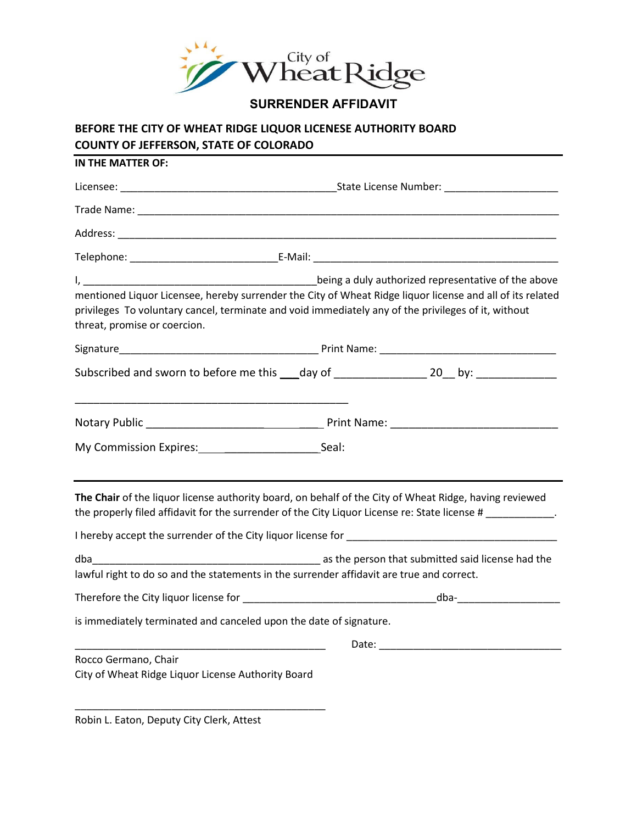

**SURRENDER AFFIDAVIT**

## **BEFORE THE CITY OF WHEAT RIDGE LIQUOR LICENESE AUTHORITY BOARD COUNTY OF JEFFERSON, STATE OF COLORADO**

| threat, promise or coercion.                                               | mentioned Liquor Licensee, hereby surrender the City of Wheat Ridge liquor license and all of its related<br>privileges To voluntary cancel, terminate and void immediately any of the privileges of it, without                                                                                                                                             |  |  |
|----------------------------------------------------------------------------|--------------------------------------------------------------------------------------------------------------------------------------------------------------------------------------------------------------------------------------------------------------------------------------------------------------------------------------------------------------|--|--|
|                                                                            |                                                                                                                                                                                                                                                                                                                                                              |  |  |
|                                                                            | Subscribed and sworn to before me this ____day of _____________________20___by: ___________________                                                                                                                                                                                                                                                          |  |  |
|                                                                            |                                                                                                                                                                                                                                                                                                                                                              |  |  |
| My Commission Expires: Seal:                                               |                                                                                                                                                                                                                                                                                                                                                              |  |  |
|                                                                            | The Chair of the liquor license authority board, on behalf of the City of Wheat Ridge, having reviewed<br>the properly filed affidavit for the surrender of the City Liquor License re: State license #___________.<br>I hereby accept the surrender of the City liquor license for the control of the control of the surface of the City liquor license for |  |  |
|                                                                            |                                                                                                                                                                                                                                                                                                                                                              |  |  |
|                                                                            | lawful right to do so and the statements in the surrender affidavit are true and correct.                                                                                                                                                                                                                                                                    |  |  |
|                                                                            |                                                                                                                                                                                                                                                                                                                                                              |  |  |
|                                                                            | is immediately terminated and canceled upon the date of signature.                                                                                                                                                                                                                                                                                           |  |  |
|                                                                            |                                                                                                                                                                                                                                                                                                                                                              |  |  |
| Rocco Germano, Chair<br>City of Wheat Ridge Liquor License Authority Board |                                                                                                                                                                                                                                                                                                                                                              |  |  |

Robin L. Eaton, Deputy City Clerk, Attest

\_\_\_\_\_\_\_\_\_\_\_\_\_\_\_\_\_\_\_\_\_\_\_\_\_\_\_\_\_\_\_\_\_\_\_\_\_\_\_\_\_\_\_\_